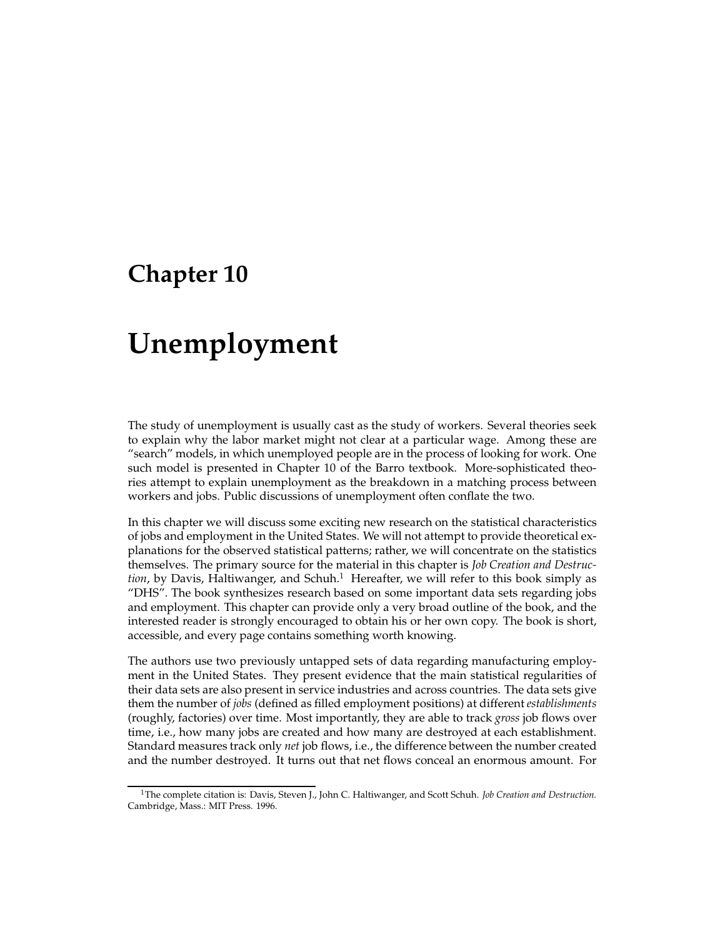## **Chapter 10**

# **Unemployment**

The study of unemployment is usually cast as the study of workers. Several theories seek to explain why the labor market might not clear at a particular wage. Among these are "search" models, in which unemployed people are in the process of looking for work. One such model is presented in Chapter 10 of the Barro textbook. More-sophisticated theories attempt to explain unemployment as the breakdown in a matching process between workers and jobs. Public discussions of unemployment often conflate the two.

In this chapter we will discuss some exciting new research on the statistical characteristics of jobs and employment in the United States. We will not attempt to provide theoretical explanations for the observed statistical patterns; rather, we will concentrate on the statistics themselves. The primary source for the material in this chapter is *Job Creation and Destruc*tion, by Davis, Haltiwanger, and Schuh.<sup>1</sup> Hereafter, we will refer to this book simply as "DHS". The book synthesizes research based on some important data sets regarding jobs and employment. This chapter can provide only a very broad outline of the book, and the interested reader is strongly encouraged to obtain his or her own copy. The book is short, accessible, and every page contains something worth knowing.

The authors use two previously untapped sets of data regarding manufacturing employment in the United States. They present evidence that the main statistical regularities of their data sets are also present in service industries and across countries. The data sets give them the number of *jobs* (defined as filled employment positions) at different *establishments* (roughly, factories) over time. Most importantly, they are able to track *gross* job flows over time, i.e., how many jobs are created and how many are destroyed at each establishment. Standard measures track only *net* job flows, i.e., the difference between the number created and the number destroyed. It turns out that net flows conceal an enormous amount. For

<sup>1</sup>The complete citation is: Davis, Steven J., John C. Haltiwanger, and Scott Schuh. *Job Creation and Destruction.* Cambridge, Mass.: MIT Press. 1996.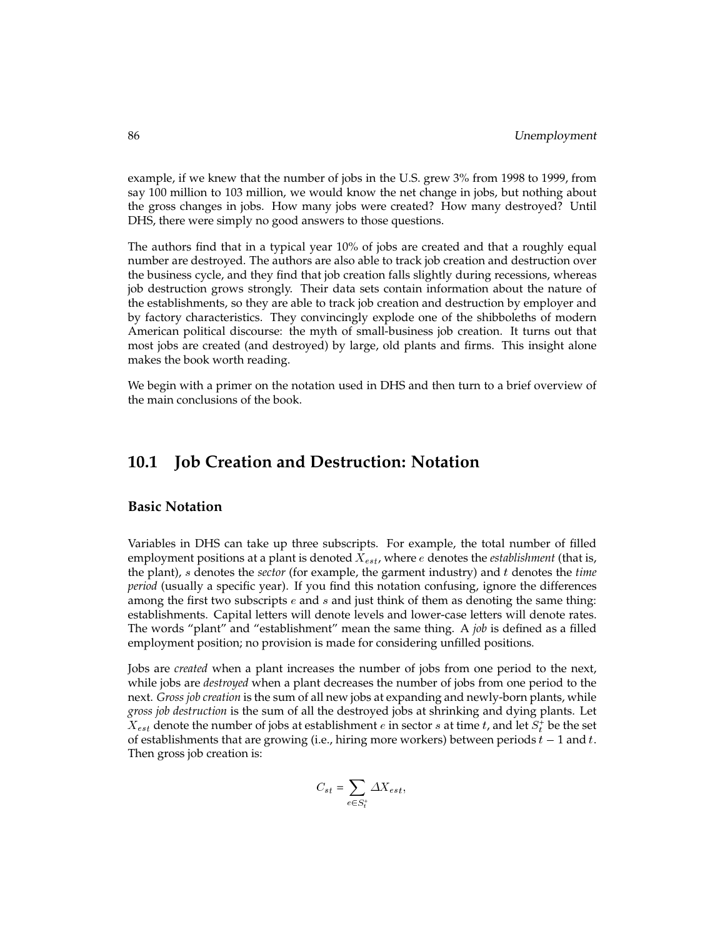example, if we knew that the number of jobs in the U.S. grew 3% from 1998 to 1999, from say 100 million to 103 million, we would know the net change in jobs, but nothing about the gross changes in jobs. How many jobs were created? How many destroyed? Until DHS, there were simply no good answers to those questions.

The authors find that in a typical year 10% of jobs are created and that a roughly equal number are destroyed. The authors are also able to track job creation and destruction over the business cycle, and they find that job creation falls slightly during recessions, whereas job destruction grows strongly. Their data sets contain information about the nature of the establishments, so they are able to track job creation and destruction by employer and by factory characteristics. They convincingly explode one of the shibboleths of modern American political discourse: the myth of small-business job creation. It turns out that most jobs are created (and destroyed) by large, old plants and firms. This insight alone makes the book worth reading.

We begin with a primer on the notation used in DHS and then turn to a brief overview of the main conclusions of the book.

### **10.1 Job Creation and Destruction: Notation**

### **Basic Notation**

Variables in DHS can take up three subscripts. For example, the total number of filled employment positions at a plant is denoted  $X_{est}$ , where  $e$  denotes the *establishment* (that is, the plant), <sup>s</sup> denotes the *sector* (for example, the garment industry) and <sup>t</sup> denotes the *time period* (usually a specific year). If you find this notation confusing, ignore the differences among the first two subscripts  $e$  and  $s$  and just think of them as denoting the same thing: establishments. Capital letters will denote levels and lower-case letters will denote rates. The words "plant" and "establishment" mean the same thing. A *job* is defined as a filled employment position; no provision is made for considering unfilled positions.

Jobs are *created* when a plant increases the number of jobs from one period to the next, while jobs are *destroyed* when a plant decreases the number of jobs from one period to the next. *Gross job creation* is the sum of all new jobs at expanding and newly-born plants, while *gross job destruction* is the sum of all the destroyed jobs at shrinking and dying plants. Let  $X_{est}$  denote the number of jobs at establishment  $e$  in sector  $s$  at time  $t$ , and let  $S_t^+$  be the set of establishments that are growing (i.e., hiring more workers) between periods  $t - 1$  and t. Then gross job creation is:

$$
C_{st} = \sum_{e \in S_t^+} \Delta X_{est},
$$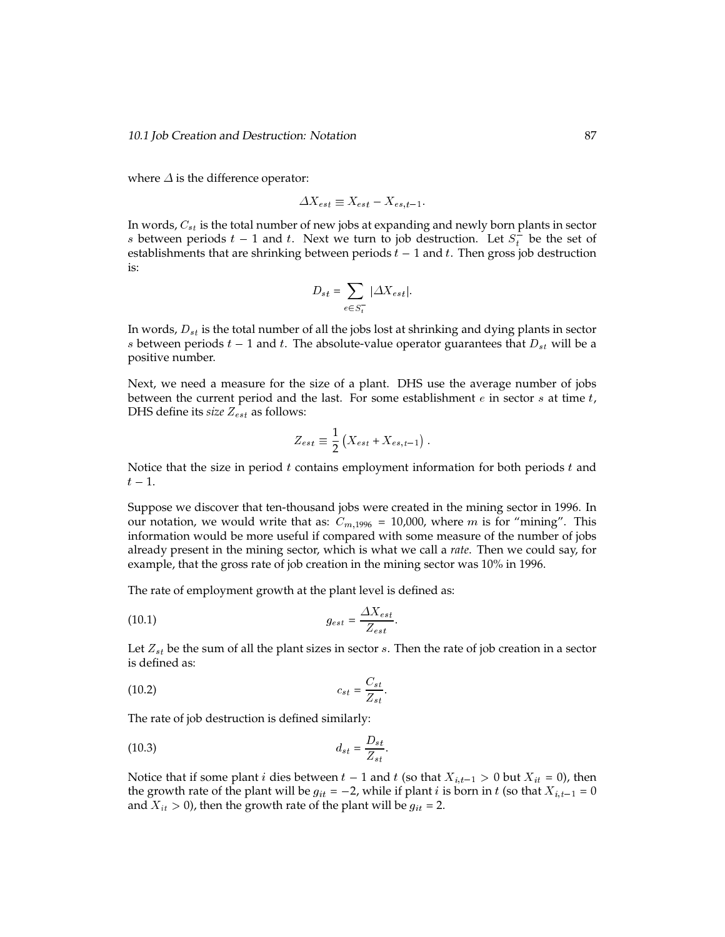where  $\Delta$  is the difference operator:

$$
\varDelta X_{est} \equiv X_{est} - X_{es,t-1}
$$

In words,  $C_{st}$  is the total number of new jobs at expanding and newly born plants in sector s between periods  $t-1$  and t. Next we turn to job destruction. Let  $S_t^-$  be the set of establishments that are shrinking between periods  $t - 1$  and t. Then gross job destruction is:

$$
D_{st} = \sum_{e \in S_t^-} |\Delta X_{est}|.
$$

In words,  $D_{st}$  is the total number of all the jobs lost at shrinking and dying plants in sector s between periods  $t - 1$  and t. The absolute-value operator guarantees that  $D_{st}$  will be a positive number.

Next, we need a measure for the size of a plant. DHS use the average number of jobs between the current period and the last. For some establishment  $e$  in sector  $s$  at time  $t$ , DHS define its *size*  $Z_{est}$  as follows:

$$
Z_{est} \equiv \frac{1}{2} \left( X_{est} + X_{es,t-1} \right).
$$

Notice that the size in period  $t$  contains employment information for both periods  $t$  and  $t-1.$ 

Suppose we discover that ten-thousand jobs were created in the mining sector in 1996. In our notation, we would write that as:  $C_{m,1996} = 10,000$ , where m is for "mining". This information would be more useful if compared with some measure of the number of jobs already present in the mining sector, which is what we call a *rate*. Then we could say, for example, that the gross rate of job creation in the mining sector was 10% in 1996.

The rate of employment growth at the plant level is defined as:

$$
g_{est} = \frac{\Delta X_{est}}{Z_{est}}.
$$

Let  $Z_{st}$  be the sum of all the plant sizes in sector s. Then the rate of job creation in a sector is defined as:

$$
(10.2) \t\t\t c_{st} = \frac{C_{st}}{Z_{st}}.
$$

The rate of job destruction is defined similarly:

$$
d_{st} = \frac{D_{st}}{Z_{st}}.
$$

Notice that if some plant *i* dies between  $t - 1$  and  $t$  (so that  $X_{i,t-1} > 0$  but  $X_{it} = 0$ ), then the growth rate of the plant will be  $g_{it} = -2$ , while if plant i is born in t (so that  $X_{i,t-1} = 0$ and  $X_{it} > 0$ ), then the growth rate of the plant will be  $g_{it} = 2$ .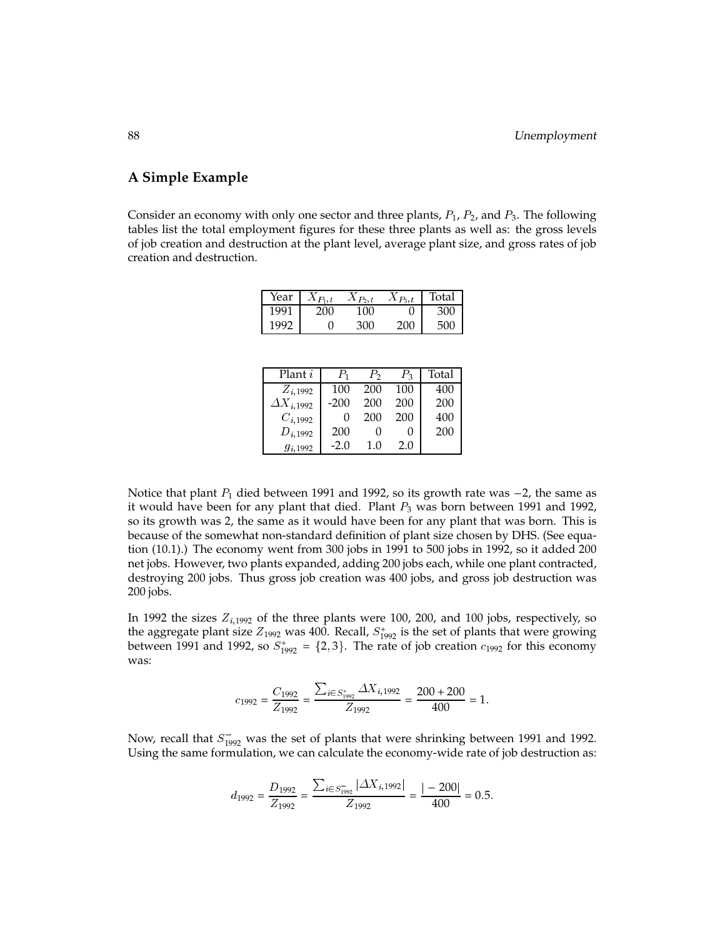### **A Simple Example**

Consider an economy with only one sector and three plants,  $P_1$ ,  $P_2$ , and  $P_3$ . The following tables list the total employment figures for these three plants as well as: the gross levels of job creation and destruction at the plant level, average plant size, and gross rates of job creation and destruction.

| Year | $X_{P_1,t}$ | $X_{P_2,t}$ | $X_{P_3,t}$ | Total |
|------|-------------|-------------|-------------|-------|
| 1991 | 200         | 100         |             | 300   |
| 1992 |             | 300         | 200         | 500   |

| Plant <i>i</i>      | $P_1$        | $P_{2}$ | $P_3$ | Total |
|---------------------|--------------|---------|-------|-------|
| $Z_{i,1992}$        | 100          | 200     | 100   | 400   |
| $\Delta X_{i,1992}$ | $-200$       | 200     | 200   | 200   |
| $C_{i,1992}$        | $\mathbf{0}$ | 200     | 200   | 400   |
| $D_{i,1992}$        | 200          | 0       |       | 200   |
| $g_{i,1992}$        | $-2.0$       | 1.0     | 2.0   |       |

Notice that plant  $P_1$  died between 1991 and 1992, so its growth rate was  $-2$ , the same as it would have been for any plant that died. Plant  $P_3$  was born between 1991 and 1992, so its growth was 2, the same as it would have been for any plant that was born. This is because of the somewhat non-standard definition of plant size chosen by DHS. (See equation (10.1).) The economy went from 300 jobs in 1991 to 500 jobs in 1992, so it added 200 net jobs. However, two plants expanded, adding 200 jobs each, while one plant contracted, destroying 200 jobs. Thus gross job creation was 400 jobs, and gross job destruction was 200 jobs.

In 1992 the sizes  $Z_{i,1992}$  of the three plants were 100, 200, and 100 jobs, respectively, so the aggregate plant size  $Z_{1992}$  was 400. Recall,  $S_{1992}^+$  is the set of plants that were growing between 1991 and 1992, so  $S_{1992}^+ = \{2,3\}$ . The rate of job creation  $c_{1992}$  for this economy was:

$$
c_{1992} = \frac{C_{1992}}{Z_{1992}} = \frac{\sum_{i \in S_{1992}^+} \Delta X_{i,1992}}{Z_{1992}} = \frac{200 + 200}{400} = 1.
$$

Now, recall that  $S_{1992}^-$  was the set of plants that were shrinking between 1991 and 1992. Using the same formulation, we can calculate the economy-wide rate of job destruction as:

$$
d_{1992} = \frac{D_{1992}}{Z_{1992}} = \frac{\sum_{i \in S_{1992}^-} |\Delta X_{i,1992}|}{Z_{1992}} = \frac{|-200|}{400} = 0.5.
$$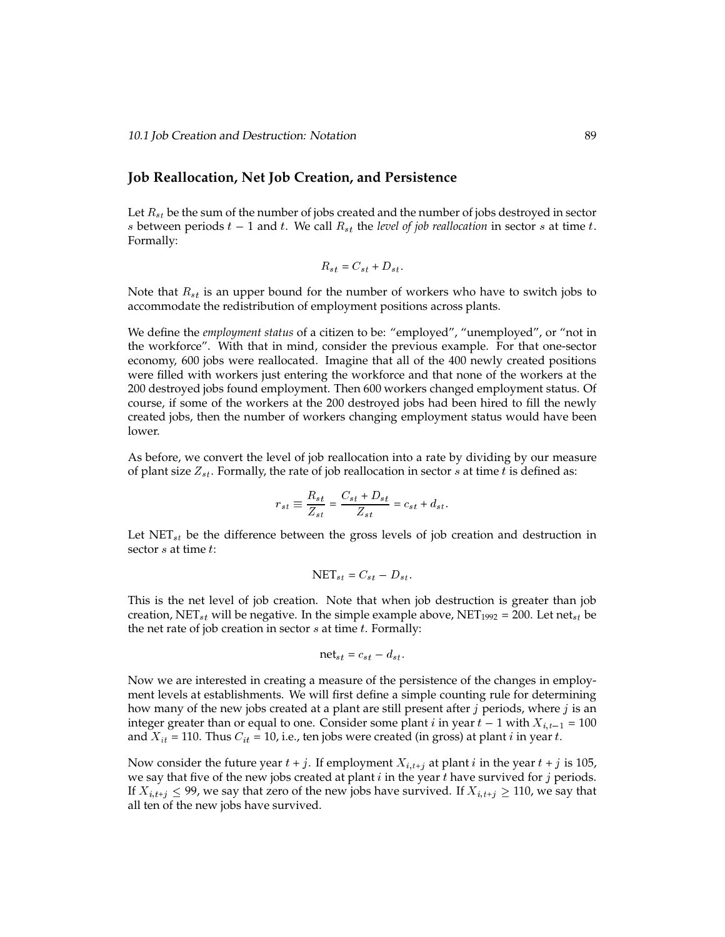### **Job Reallocation, Net Job Creation, and Persistence**

Let  $R_{st}$  be the sum of the number of jobs created and the number of jobs destroyed in sector s between periods  $t - 1$  and t. We call  $R_{st}$  the *level of job reallocation* in sector s at time t. Formally:

$$
R_{st} = C_{st} + D_{st}.
$$

Note that  $R_{st}$  is an upper bound for the number of workers who have to switch jobs to accommodate the redistribution of employment positions across plants.

We define the *employment status* of a citizen to be: "employed", "unemployed", or "not in the workforce". With that in mind, consider the previous example. For that one-sector economy, 600 jobs were reallocated. Imagine that all of the 400 newly created positions were filled with workers just entering the workforce and that none of the workers at the 200 destroyed jobs found employment. Then 600 workers changed employment status. Of course, if some of the workers at the 200 destroyed jobs had been hired to fill the newly created jobs, then the number of workers changing employment status would have been lower.

As before, we convert the level of job reallocation into a rate by dividing by our measure of plant size  $Z_{st}$ . Formally, the rate of job reallocation in sector s at time t is defined as:

$$
r_{st} \equiv \frac{R_{st}}{Z_{st}} = \frac{C_{st} + D_{st}}{Z_{st}} = c_{st} + d_{st}.
$$

Let  $NET_{st}$  be the difference between the gross levels of job creation and destruction in sector *s* at time *t*:

$$
NET_{st} = C_{st} - D_{st}.
$$

This is the net level of job creation. Note that when job destruction is greater than job creation, NET<sub>st</sub> will be negative. In the simple example above, NET<sub>1992</sub> = 200. Let net<sub>st</sub> be the net rate of job creation in sector  $s$  at time  $t$ . Formally:

$$
\text{net}_{st} = c_{st} - d_{st}.
$$

Now we are interested in creating a measure of the persistence of the changes in employment levels at establishments. We will first define a simple counting rule for determining how many of the new jobs created at a plant are still present after  $j$  periods, where  $j$  is an integer greater than or equal to one. Consider some plant *i* in year  $t - 1$  with  $X_{i,t-1} = 100$ and  $X_{it} = 110$ . Thus  $C_{it} = 10$ , i.e., ten jobs were created (in gross) at plant *i* in year *t*.

Now consider the future year  $t + j$ . If employment  $X_{i,t+j}$  at plant i in the year  $t + j$  is 105, we say that five of the new jobs created at plant  $i$  in the year  $t$  have survived for  $j$  periods. If  $X_{i,t+j} \leq 99$ , we say that zero of the new jobs have survived. If  $X_{i,t+j} \geq 110$ , we say that all ten of the new jobs have survived.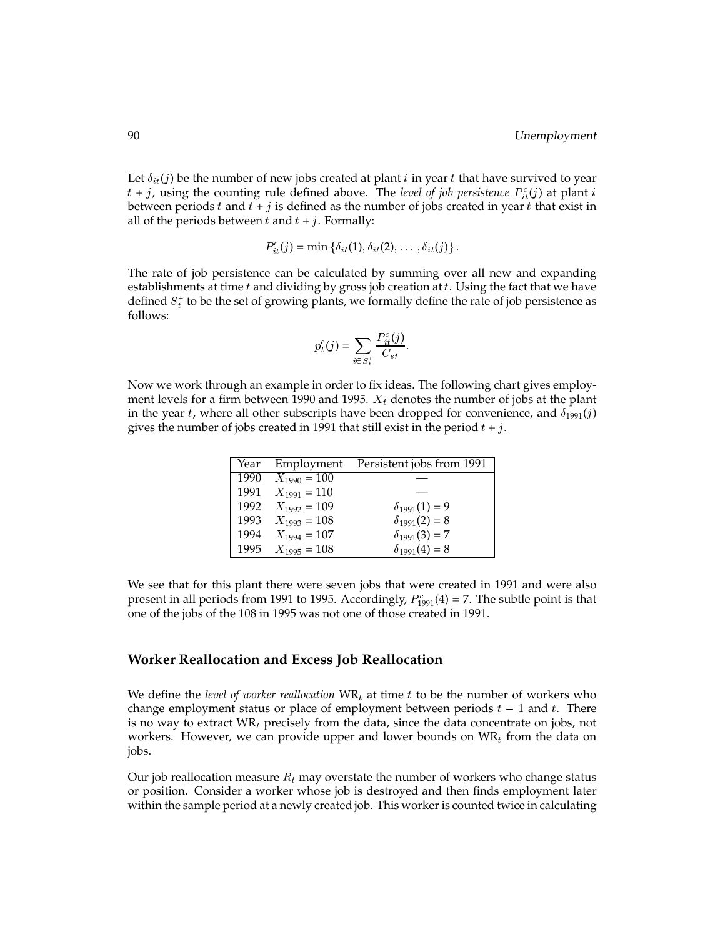Let  $\delta_{it}(j)$  be the number of new jobs created at plant i in year t that have survived to year  $t + j$ , using the counting rule defined above. The *level of job persistence*  $P_{it}^c(j)$  at plant i between periods  $t$  and  $t + j$  is defined as the number of jobs created in year  $t$  that exist in all of the periods between  $t$  and  $t + j$ . Formally:

$$
P_{it}^{c}(j) = \min \left\{ \delta_{it}(1), \delta_{it}(2), \ldots, \delta_{it}(j) \right\}.
$$

The rate of job persistence can be calculated by summing over all new and expanding establishments at time  $t$  and dividing by gross job creation at  $t$ . Using the fact that we have defined  $S_t^*$  to be the set of growing plants, we formally define the rate of job persistence as follows:

$$
p_t^c(j) = \sum_{i \in S_t^+} \frac{P_{it}^c(j)}{C_{st}}.
$$

Now we work through an example in order to fix ideas. The following chart gives employment levels for a firm between 1990 and 1995.  $X_t$  denotes the number of jobs at the plant in the year t, where all other subscripts have been dropped for convenience, and  $\delta_{1991}(j)$ gives the number of jobs created in 1991 that still exist in the period  $t + j$ .

| Year | Employment       | Persistent jobs from 1991 |
|------|------------------|---------------------------|
| 1990 | $X_{1990} = 100$ |                           |
| 1991 | $X_{1991} = 110$ |                           |
| 1992 | $X_{1992} = 109$ | $\delta_{1991}(1) = 9$    |
| 1993 | $X_{1993} = 108$ | $\delta_{1991}(2) = 8$    |
| 1994 | $X_{1994} = 107$ | $\delta_{1991}(3) = 7$    |
| 1995 | $X_{1995} = 108$ | $\delta_{1991}(4) = 8$    |

We see that for this plant there were seven jobs that were created in 1991 and were also present in all periods from 1991 to 1995. Accordingly,  $P_{1991}^c(4)$  = 7. The subtle point is that one of the jobs of the 108 in 1995 was not one of those created in 1991.

### **Worker Reallocation and Excess Job Reallocation**

We define the *level of worker reallocation*  $WR<sub>t</sub>$  at time t to be the number of workers who change employment status or place of employment between periods  $t - 1$  and t. There is no way to extract  $WR_t$  precisely from the data, since the data concentrate on jobs, not workers. However, we can provide upper and lower bounds on  $\text{WR}_t$  from the data on jobs.

Our job reallocation measure  $R_t$  may overstate the number of workers who change status or position. Consider a worker whose job is destroyed and then finds employment later within the sample period at a newly created job. This worker is counted twice in calculating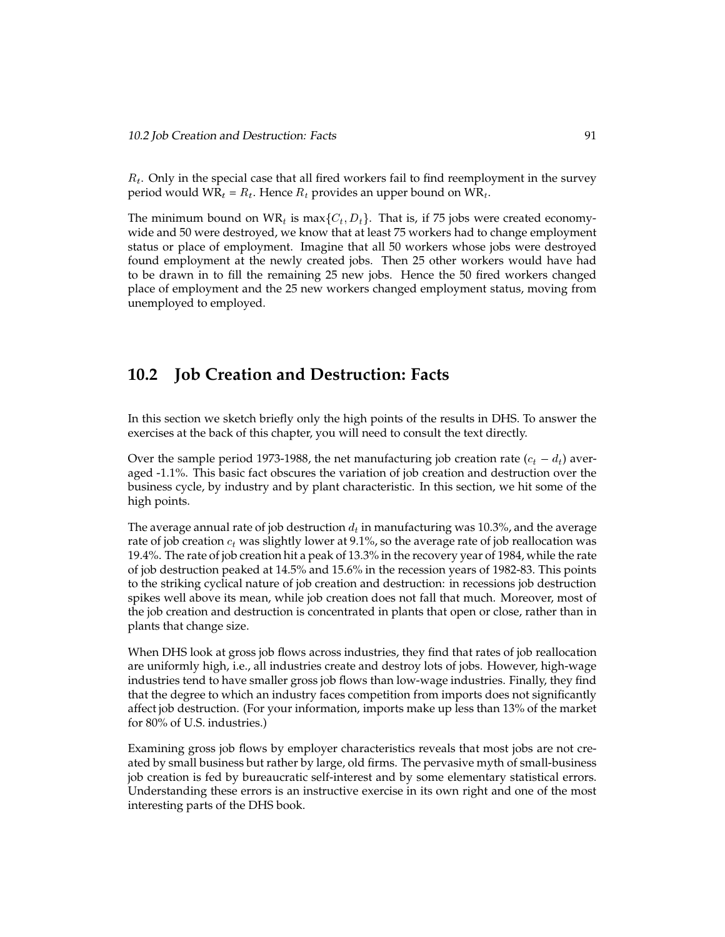$R_t$ . Only in the special case that all fired workers fail to find reemployment in the survey period would  $WR_t = R_t$ . Hence  $R_t$  provides an upper bound on  $WR_t$ .

The minimum bound on  $WR_t$  is max $\{C_t, D_t\}$ . That is, if 75 jobs were created economywide and 50 were destroyed, we know that at least 75 workers had to change employment status or place of employment. Imagine that all 50 workers whose jobs were destroyed found employment at the newly created jobs. Then 25 other workers would have had to be drawn in to fill the remaining 25 new jobs. Hence the 50 fired workers changed place of employment and the 25 new workers changed employment status, moving from unemployed to employed.

### **10.2 Job Creation and Destruction: Facts**

In this section we sketch briefly only the high points of the results in DHS. To answer the exercises at the back of this chapter, you will need to consult the text directly.

Over the sample period 1973-1988, the net manufacturing job creation rate  $(c_t - d_t)$  averaged -1.1%. This basic fact obscures the variation of job creation and destruction over the business cycle, by industry and by plant characteristic. In this section, we hit some of the high points.

The average annual rate of job destruction  $d_t$  in manufacturing was 10.3%, and the average rate of job creation  $c_t$  was slightly lower at 9.1%, so the average rate of job reallocation was 19.4%. The rate of job creation hit a peak of 13.3% in the recovery year of 1984, while the rate of job destruction peaked at 14.5% and 15.6% in the recession years of 1982-83. This points to the striking cyclical nature of job creation and destruction: in recessions job destruction spikes well above its mean, while job creation does not fall that much. Moreover, most of the job creation and destruction is concentrated in plants that open or close, rather than in plants that change size.

When DHS look at gross job flows across industries, they find that rates of job reallocation are uniformly high, i.e., all industries create and destroy lots of jobs. However, high-wage industries tend to have smaller gross job flows than low-wage industries. Finally, they find that the degree to which an industry faces competition from imports does not significantly affect job destruction. (For your information, imports make up less than 13% of the market for 80% of U.S. industries.)

Examining gross job flows by employer characteristics reveals that most jobs are not created by small business but rather by large, old firms. The pervasive myth of small-business job creation is fed by bureaucratic self-interest and by some elementary statistical errors. Understanding these errors is an instructive exercise in its own right and one of the most interesting parts of the DHS book.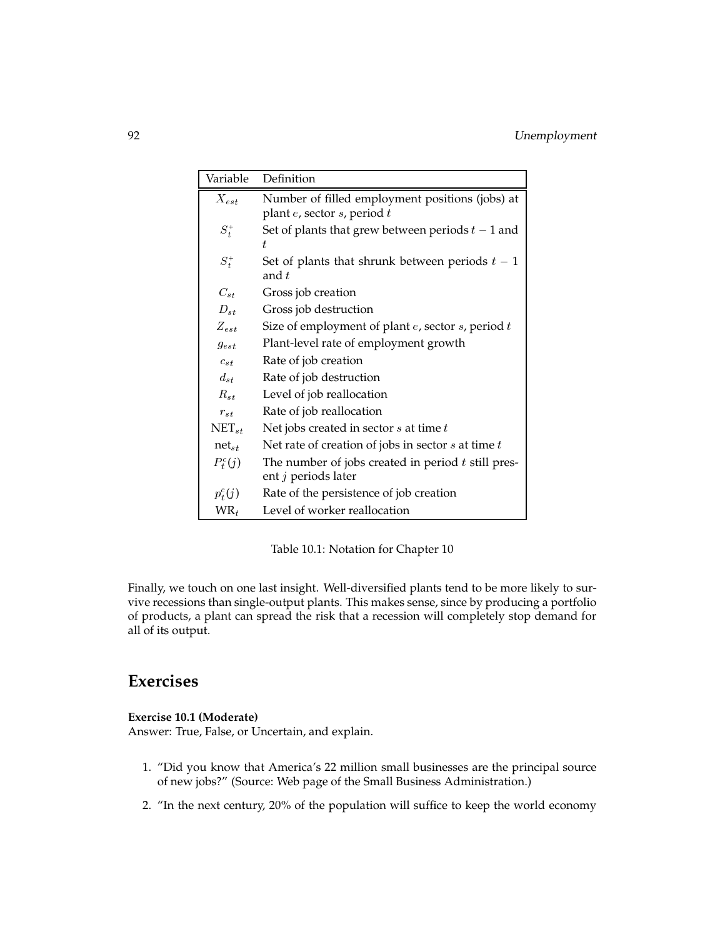| Variable   | Definition                                                                  |
|------------|-----------------------------------------------------------------------------|
| $X_{est}$  | Number of filled employment positions (jobs) at                             |
|            | plant e, sector s, period t                                                 |
| $S_t^+$    | Set of plants that grew between periods $t-1$ and<br>t.                     |
| $S_t^+$    | Set of plants that shrunk between periods $t-1$<br>and $t$                  |
| $C_{st}$   | Gross job creation                                                          |
| $D_{st}$   | Gross job destruction                                                       |
| $Z_{est}$  | Size of employment of plant $e$ , sector $s$ , period $t$                   |
| $g_{est}$  | Plant-level rate of employment growth                                       |
| $c_{st}$   | Rate of job creation                                                        |
| $d_{st}$   | Rate of job destruction                                                     |
| $R_{st}$   | Level of job reallocation                                                   |
| $r_{st}$   | Rate of job reallocation                                                    |
| $NET_{st}$ | Net jobs created in sector $s$ at time $t$                                  |
| $net_{st}$ | Net rate of creation of jobs in sector $s$ at time $t$                      |
| $P_t^c(j)$ | The number of jobs created in period $t$ still pres-<br>ent j periods later |
| $p_t^c(j)$ | Rate of the persistence of job creation                                     |
| $WR_t$     | Level of worker reallocation                                                |

Table 10.1: Notation for Chapter 10

Finally, we touch on one last insight. Well-diversified plants tend to be more likely to survive recessions than single-output plants. This makes sense, since by producing a portfolio of products, a plant can spread the risk that a recession will completely stop demand for all of its output.

### **Exercises**

### **Exercise 10.1 (Moderate)**

Answer: True, False, or Uncertain, and explain.

- 1. "Did you know that America's 22 million small businesses are the principal source of new jobs?" (Source: Web page of the Small Business Administration.)
- 2. "In the next century, 20% of the population will suffice to keep the world economy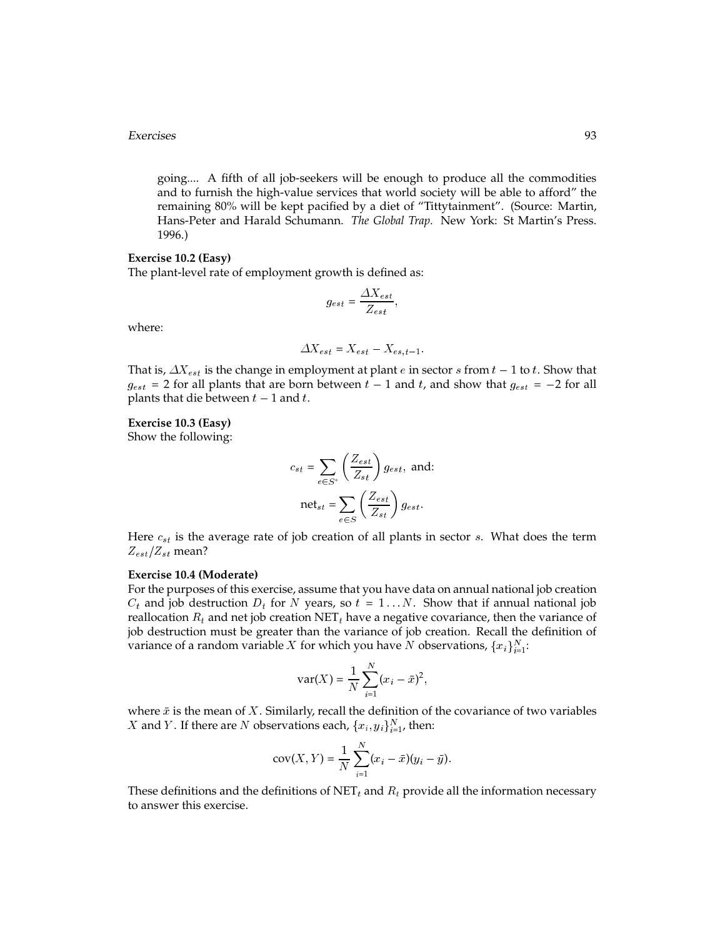#### Exercises 93

going.... A fifth of all job-seekers will be enough to produce all the commodities and to furnish the high-value services that world society will be able to afford" the remaining 80% will be kept pacified by a diet of "Tittytainment". (Source: Martin, Hans-Peter and Harald Schumann. *The Global Trap.* New York: St Martin's Press. 1996.)

### **Exercise 10.2 (Easy)**

The plant-level rate of employment growth is defined as:

$$
g_{est} = \frac{\Delta X_{est}}{Z_{est}},
$$

where:

$$
\Delta X_{est} = X_{est} - X_{es,t-1}.
$$

That is,  $\Delta X_{est}$  is the change in employment at plant e in sector s from  $t - 1$  to t. Show that  $g_{est}$  = 2 for all plants that are born between  $t-1$  and  $t$ , and show that  $g_{est}$  = -2 for all plants that die between  $t - 1$  and  $t$ .

### **Exercise 10.3 (Easy)**

Show the following:

$$
c_{st} = \sum_{e \in S^{+}} \left(\frac{Z_{est}}{Z_{st}}\right) g_{est}, \text{ and:}
$$

$$
net_{st} = \sum_{e \in S} \left(\frac{Z_{est}}{Z_{st}}\right) g_{est}.
$$

Here  $c_{st}$  is the average rate of job creation of all plants in sector  $s$ . What does the term  $Z_{est}/Z_{st}$  mean?

#### **Exercise 10.4 (Moderate)**

For the purposes of this exercise, assume that you have data on annual national job creation  $C_t$  and job destruction  $D_t$  for N years, so  $t = 1...N$ . Show that if annual national job reallocation  $R_t$  and net job creation NET<sub>t</sub> have a negative covariance, then the variance of job destruction must be greater than the variance of job creation. Recall the definition of variance of a random variable  $X$  for which you have  $N$  observations,  $\{x_i\}_{i=1}^N$ :

$$
var(X) = \frac{1}{N} \sum_{i=1}^{N} (x_i - \bar{x})^2
$$

where  $\bar{x}$  is the mean of X. Similarly, recall the definition of the covariance of two variables X and Y. If there are N observations each,  $\{x_i, y_i\}_{i=1}^N$ , then:

$$
cov(X, Y) = \frac{1}{N} \sum_{i=1}^{N} (x_i - \bar{x})(y_i - \bar{y}).
$$

These definitions and the definitions of NET<sub>t</sub> and  $R_t$  provide all the information necessary to answer this exercise.